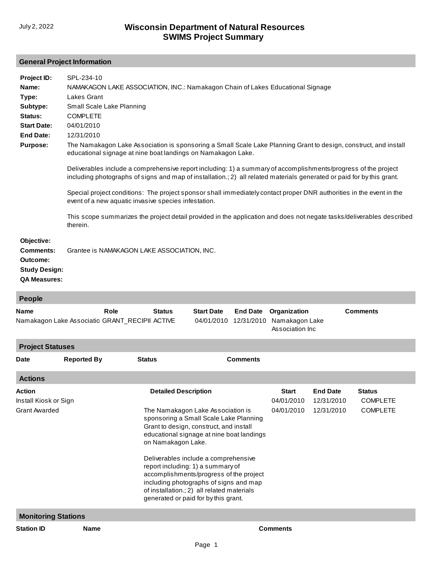## **General Project Information**

| Project ID:<br>Name:<br>Type:<br>Subtype:<br>Status:<br><b>Start Date:</b><br><b>End Date:</b><br><b>Purpose:</b> | SPL-234-10<br>NAMAKAGON LAKE ASSOCIATION, INC.: Namakagon Chain of Lakes Educational Signage<br>Lakes Grant<br>Small Scale Lake Planning<br><b>COMPLETE</b><br>04/01/2010<br>12/31/2010<br>The Namakagon Lake Association is sponsoring a Small Scale Lake Planning Grant to design, construct, and install<br>educational signage at nine boat landings on Namakagon Lake.<br>Deliverables include a comprehensive report including: 1) a summary of accomplishments/progress of the project<br>including photographs of signs and map of installation.; 2) all related materials generated or paid for by this grant.<br>Special project conditions: The project sponsor shall immediately contact proper DNR authorities in the event in the<br>event of a new aquatic invasive species infestation.<br>This scope summarizes the project detail provided in the application and does not negate tasks/deliverables described<br>therein. |               |                                 |                               |                                                    |                 |  |
|-------------------------------------------------------------------------------------------------------------------|----------------------------------------------------------------------------------------------------------------------------------------------------------------------------------------------------------------------------------------------------------------------------------------------------------------------------------------------------------------------------------------------------------------------------------------------------------------------------------------------------------------------------------------------------------------------------------------------------------------------------------------------------------------------------------------------------------------------------------------------------------------------------------------------------------------------------------------------------------------------------------------------------------------------------------------------|---------------|---------------------------------|-------------------------------|----------------------------------------------------|-----------------|--|
| Objective:<br><b>Comments:</b><br>Outcome:<br><b>Study Design:</b><br><b>QA Measures:</b>                         | Grantee is NAMAKAGON LAKE ASSOCIATION, INC.                                                                                                                                                                                                                                                                                                                                                                                                                                                                                                                                                                                                                                                                                                                                                                                                                                                                                                  |               |                                 |                               |                                                    |                 |  |
| People                                                                                                            |                                                                                                                                                                                                                                                                                                                                                                                                                                                                                                                                                                                                                                                                                                                                                                                                                                                                                                                                              |               |                                 |                               |                                                    |                 |  |
| <b>Name</b>                                                                                                       | Role<br>Namakagon Lake Associatio GRANT_RECIPII ACTIVE                                                                                                                                                                                                                                                                                                                                                                                                                                                                                                                                                                                                                                                                                                                                                                                                                                                                                       | <b>Status</b> | <b>Start Date</b><br>04/01/2010 | <b>End Date</b><br>12/31/2010 | Organization<br>Namakagon Lake<br>Association Inc. | <b>Comments</b> |  |

| <b>Project Statuses</b>                                        |                            |                 |                                                                                                                                                                                                                                                                                                                                                                                                                                                                                  |  |                                             |                                                     |  |
|----------------------------------------------------------------|----------------------------|-----------------|----------------------------------------------------------------------------------------------------------------------------------------------------------------------------------------------------------------------------------------------------------------------------------------------------------------------------------------------------------------------------------------------------------------------------------------------------------------------------------|--|---------------------------------------------|-----------------------------------------------------|--|
| <b>Reported By</b><br><b>Status</b><br>Date                    |                            | <b>Comments</b> |                                                                                                                                                                                                                                                                                                                                                                                                                                                                                  |  |                                             |                                                     |  |
| <b>Actions</b>                                                 |                            |                 |                                                                                                                                                                                                                                                                                                                                                                                                                                                                                  |  |                                             |                                                     |  |
| <b>Action</b><br>Install Kiosk or Sign<br><b>Grant Awarded</b> |                            |                 | <b>Detailed Description</b><br>The Namakagon Lake Association is<br>sponsoring a Small Scale Lake Planning<br>Grant to design, construct, and install<br>educational signage at nine boat landings<br>on Namakagon Lake.<br>Deliverables include a comprehensive<br>report including: 1) a summary of<br>accomplishments/progress of the project<br>including photographs of signs and map<br>of installation.; 2) all related materials<br>generated or paid for by this grant. |  | <b>End Date</b><br>12/31/2010<br>12/31/2010 | <b>Status</b><br><b>COMPLETE</b><br><b>COMPLETE</b> |  |
|                                                                | <b>Monitoring Stations</b> |                 |                                                                                                                                                                                                                                                                                                                                                                                                                                                                                  |  |                                             |                                                     |  |
| <b>Station ID</b>                                              | <b>Name</b>                | <b>Comments</b> |                                                                                                                                                                                                                                                                                                                                                                                                                                                                                  |  |                                             |                                                     |  |